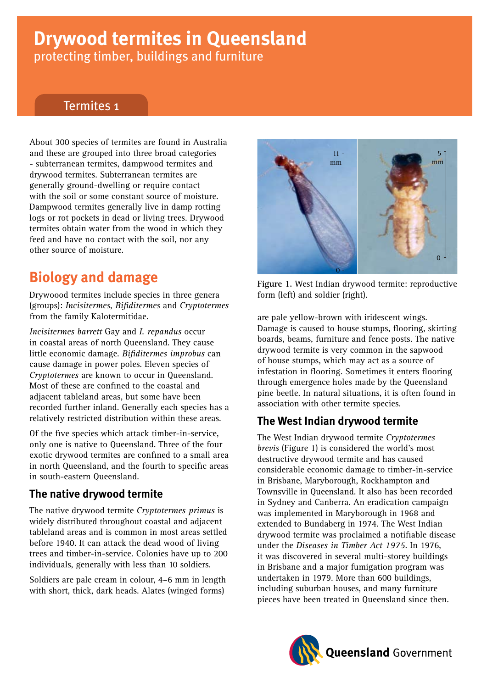# **Drywood termites in Queensland**

protecting timber, buildings and furniture

### Termites 1

About 300 species of termites are found in Australia and these are grouped into three broad categories - subterranean termites, dampwood termites and drywood termites. Subterranean termites are generally ground-dwelling or require contact with the soil or some constant source of moisture. Dampwood termites generally live in damp rotting logs or rot pockets in dead or living trees. Drywood termites obtain water from the wood in which they feed and have no contact with the soil, nor any other source of moisture.

# **Biology and damage**

Drywoood termites include species in three genera (groups): *Incisitermes*, *Bifiditermes* and *Cryptotermes* from the family Kalotermitidae.

*Incisitermes barrett* Gay and *I. repandus* occur in coastal areas of north Queensland. They cause little economic damage. *Bifiditermes improbus* can cause damage in power poles. Eleven species of *Cryptotermes* are known to occur in Queensland. Most of these are confined to the coastal and adjacent tableland areas, but some have been recorded further inland. Generally each species has a relatively restricted distribution within these areas.

Of the five species which attack timber-in-service, only one is native to Queensland. Three of the four exotic drywood termites are confined to a small area in north Queensland, and the fourth to specific areas in south-eastern Queensland.

### **The native drywood termite**

The native drywood termite *Cryptotermes primus* is widely distributed throughout coastal and adjacent tableland areas and is common in most areas settled before 1940. It can attack the dead wood of living trees and timber-in-service. Colonies have up to 200 individuals, generally with less than 10 soldiers.

Soldiers are pale cream in colour, 4–6 mm in length with short, thick, dark heads. Alates (winged forms)



**Figure 1.** West Indian drywood termite: reproductive form (left) and soldier (right).

are pale yellow-brown with iridescent wings. Damage is caused to house stumps, flooring, skirting boards, beams, furniture and fence posts. The native drywood termite is very common in the sapwood of house stumps, which may act as a source of infestation in flooring. Sometimes it enters flooring through emergence holes made by the Queensland pine beetle. In natural situations, it is often found in association with other termite species.

### **The West Indian drywood termite**

The West Indian drywood termite *Cryptotermes brevis* (Figure 1) is considered the world's most destructive drywood termite and has caused considerable economic damage to timber-in-service in Brisbane, Maryborough, Rockhampton and Townsville in Queensland. It also has been recorded in Sydney and Canberra. An eradication campaign was implemented in Maryborough in 1968 and extended to Bundaberg in 1974. The West Indian drywood termite was proclaimed a notifiable disease under the *Diseases in Timber Act 1975*. In 1976, it was discovered in several multi-storey buildings in Brisbane and a major fumigation program was undertaken in 1979. More than 600 buildings, including suburban houses, and many furniture pieces have been treated in Queensland since then.

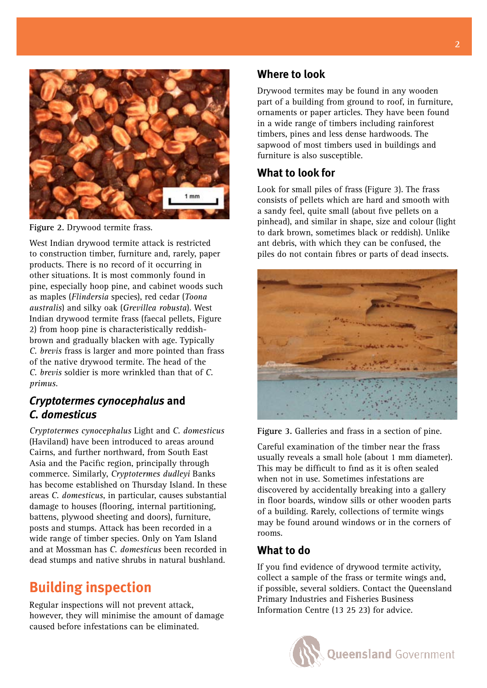

Figure 2. Drywood termite frass.

West Indian drywood termite attack is restricted to construction timber, furniture and, rarely, paper products. There is no record of it occurring in other situations. It is most commonly found in pine, especially hoop pine, and cabinet woods such as maples (*Flindersia* species), red cedar (*Toona australis*) and silky oak (*Grevillea robusta*). West Indian drywood termite frass (faecal pellets, Figure 2) from hoop pine is characteristically reddishbrown and gradually blacken with age. Typically *C. brevis* frass is larger and more pointed than frass of the native drywood termite. The head of the *C. brevis* soldier is more wrinkled than that of *C. primus*.

### *Cryptotermes cynocephalus* **and**  *C. domesticus*

*Cryptotermes cynocephalus* Light and *C. domesticus* (Haviland) have been introduced to areas around Cairns, and further northward, from South East Asia and the Pacific region, principally through commerce. Similarly, *Cryptotermes dudleyi* Banks has become established on Thursday Island. In these areas *C. domesticus*, in particular, causes substantial damage to houses (flooring, internal partitioning, battens, plywood sheeting and doors), furniture, posts and stumps. Attack has been recorded in a wide range of timber species. Only on Yam Island and at Mossman has *C. domesticus* been recorded in dead stumps and native shrubs in natural bushland.

# **Building inspection**

Regular inspections will not prevent attack, however, they will minimise the amount of damage caused before infestations can be eliminated.

### **Where to look**

Drywood termites may be found in any wooden part of a building from ground to roof, in furniture, ornaments or paper articles. They have been found in a wide range of timbers including rainforest timbers, pines and less dense hardwoods. The sapwood of most timbers used in buildings and furniture is also susceptible.

### **What to look for**

Look for small piles of frass (Figure 3). The frass consists of pellets which are hard and smooth with a sandy feel, quite small (about five pellets on a pinhead), and similar in shape, size and colour (light to dark brown, sometimes black or reddish). Unlike ant debris, with which they can be confused, the piles do not contain fibres or parts of dead insects.



**Figure 3.** Galleries and frass in a section of pine.

Careful examination of the timber near the frass usually reveals a small hole (about 1 mm diameter). This may be difficult to find as it is often sealed when not in use. Sometimes infestations are discovered by accidentally breaking into a gallery in floor boards, window sills or other wooden parts of a building. Rarely, collections of termite wings may be found around windows or in the corners of rooms.

### **What to do**

If you find evidence of drywood termite activity, collect a sample of the frass or termite wings and, if possible, several soldiers. Contact the Queensland Primary Industries and Fisheries Business Information Centre (13 25 23) for advice.

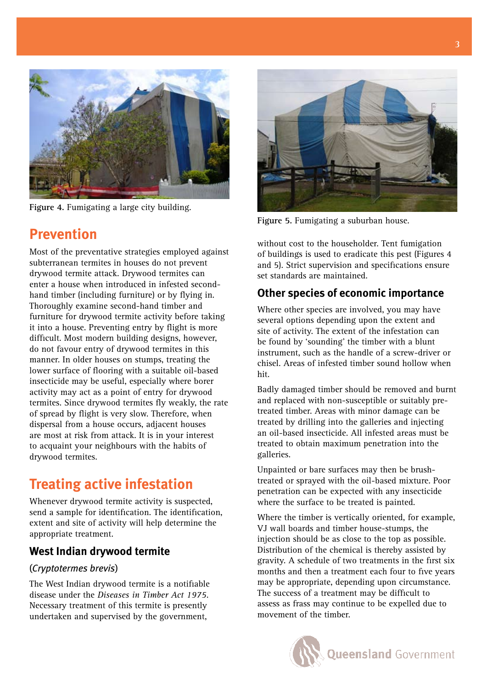

**Figure 4.** Fumigating a large city building.

# **Prevention**

Most of the preventative strategies employed against subterranean termites in houses do not prevent drywood termite attack. Drywood termites can enter a house when introduced in infested secondhand timber (including furniture) or by flying in. Thoroughly examine second-hand timber and furniture for drywood termite activity before taking it into a house. Preventing entry by flight is more difficult. Most modern building designs, however, do not favour entry of drywood termites in this manner. In older houses on stumps, treating the lower surface of flooring with a suitable oil-based insecticide may be useful, especially where borer activity may act as a point of entry for drywood termites. Since drywood termites fly weakly, the rate of spread by flight is very slow. Therefore, when dispersal from a house occurs, adjacent houses are most at risk from attack. It is in your interest to acquaint your neighbours with the habits of drywood termites.

# **Treating active infestation**

Whenever drywood termite activity is suspected, send a sample for identification. The identification, extent and site of activity will help determine the appropriate treatment.

### **West Indian drywood termite**

#### (*Cryptotermes brevis*)

The West Indian drywood termite is a notifiable disease under the *Diseases in Timber Act 1975*. Necessary treatment of this termite is presently undertaken and supervised by the government,



**Figure 5.** Fumigating a suburban house.

without cost to the householder. Tent fumigation of buildings is used to eradicate this pest (Figures 4 and 5). Strict supervision and specifications ensure set standards are maintained.

### **Other species of economic importance**

Where other species are involved, you may have several options depending upon the extent and site of activity. The extent of the infestation can be found by 'sounding' the timber with a blunt instrument, such as the handle of a screw-driver or chisel. Areas of infested timber sound hollow when hit.

Badly damaged timber should be removed and burnt and replaced with non-susceptible or suitably pretreated timber. Areas with minor damage can be treated by drilling into the galleries and injecting an oil-based insecticide. All infested areas must be treated to obtain maximum penetration into the galleries.

Unpainted or bare surfaces may then be brushtreated or sprayed with the oil-based mixture. Poor penetration can be expected with any insecticide where the surface to be treated is painted.

Where the timber is vertically oriented, for example, VJ wall boards and timber house-stumps, the injection should be as close to the top as possible. Distribution of the chemical is thereby assisted by gravity. A schedule of two treatments in the first six months and then a treatment each four to five years may be appropriate, depending upon circumstance. The success of a treatment may be difficult to assess as frass may continue to be expelled due to movement of the timber.